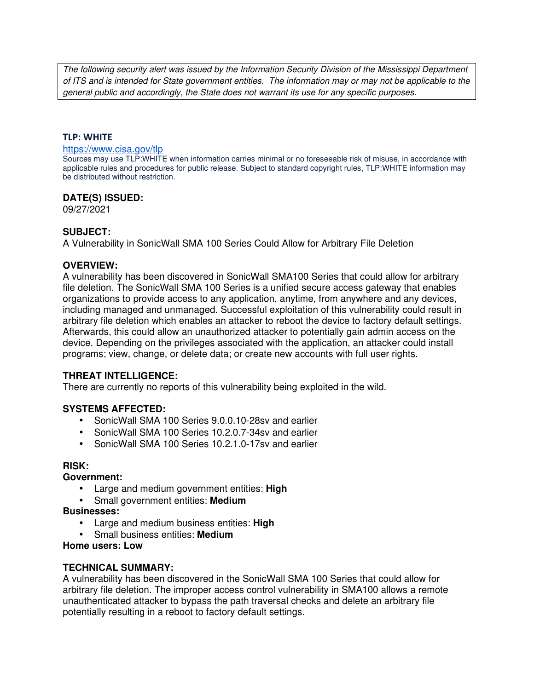The following security alert was issued by the Information Security Division of the Mississippi Department of ITS and is intended for State government entities. The information may or may not be applicable to the general public and accordingly, the State does not warrant its use for any specific purposes.

#### **TLP: WHITE**

#### https://www.cisa.gov/tlp

Sources may use TLP:WHITE when information carries minimal or no foreseeable risk of misuse, in accordance with applicable rules and procedures for public release. Subject to standard copyright rules, TLP:WHITE information may be distributed without restriction.

#### **DATE(S) ISSUED:**

09/27/2021

## **SUBJECT:**

A Vulnerability in SonicWall SMA 100 Series Could Allow for Arbitrary File Deletion

#### **OVERVIEW:**

A vulnerability has been discovered in SonicWall SMA100 Series that could allow for arbitrary file deletion. The SonicWall SMA 100 Series is a unified secure access gateway that enables organizations to provide access to any application, anytime, from anywhere and any devices, including managed and unmanaged. Successful exploitation of this vulnerability could result in arbitrary file deletion which enables an attacker to reboot the device to factory default settings. Afterwards, this could allow an unauthorized attacker to potentially gain admin access on the device. Depending on the privileges associated with the application, an attacker could install programs; view, change, or delete data; or create new accounts with full user rights.

## **THREAT INTELLIGENCE:**

There are currently no reports of this vulnerability being exploited in the wild.

## **SYSTEMS AFFECTED:**

- SonicWall SMA 100 Series 9.0.0.10-28sv and earlier
- SonicWall SMA 100 Series 10.2.0.7-34sv and earlier
- SonicWall SMA 100 Series 10.2.1.0-17sv and earlier

## **RISK:**

**Government:**

- Large and medium government entities: **High**
- Small government entities: **Medium**

**Businesses:**

- Large and medium business entities: **High**
- Small business entities: **Medium**

## **Home users: Low**

## **TECHNICAL SUMMARY:**

A vulnerability has been discovered in the SonicWall SMA 100 Series that could allow for arbitrary file deletion. The improper access control vulnerability in SMA100 allows a remote unauthenticated attacker to bypass the path traversal checks and delete an arbitrary file potentially resulting in a reboot to factory default settings.